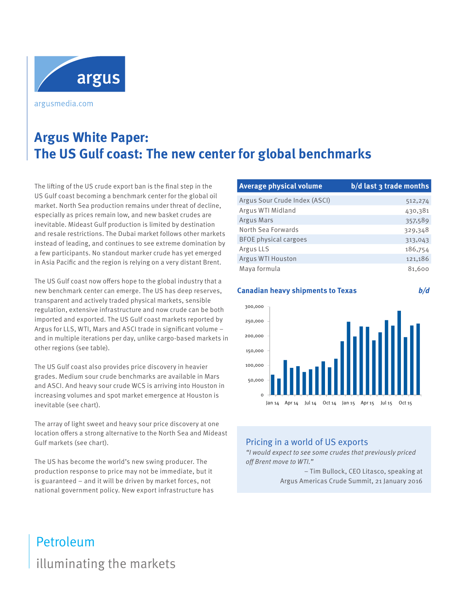

argusmedia.com

# **Argus White Paper: The US Gulf coast: The new center for global benchmarks**

The lifting of the US crude export ban is the final step in the US Gulf coast becoming a benchmark center for the global oil market. North Sea production remains under threat of decline, especially as prices remain low, and new basket crudes are inevitable. Mideast Gulf production is limited by destination and resale restrictions. The Dubai market follows other markets instead of leading, and continues to see extreme domination by a few participants. No standout marker crude has yet emerged in Asia Pacific and the region is relying on a very distant Brent.

The US Gulf coast now offers hope to the global industry that a new benchmark center can emerge. The US has deep reserves, transparent and actively traded physical markets, sensible regulation, extensive infrastructure and now crude can be both imported and exported. The US Gulf coast markets reported by Argus for LLS, WTI, Mars and ASCI trade in significant volume – and in multiple iterations per day, unlike cargo-based markets in other regions (see table).

The US Gulf coast also provides price discovery in heavier grades. Medium sour crude benchmarks are available in Mars and ASCI. And heavy sour crude WCS is arriving into Houston in increasing volumes and spot market emergence at Houston is inevitable (see chart).

The array of light sweet and heavy sour price discovery at one location offers a strong alternative to the North Sea and Mideast Gulf markets (see chart).

The US has become the world's new swing producer. The production response to price may not be immediate, but it is guaranteed – and it will be driven by market forces, not national government policy. New export infrastructure has

| Average physical volume       | b/d last 3 trade months |
|-------------------------------|-------------------------|
| Argus Sour Crude Index (ASCI) | 512,274                 |
| Argus WTI Midland             | 430,381                 |
| Argus Mars                    | 357,589                 |
| North Sea Forwards            | 329,348                 |
| <b>BFOE physical cargoes</b>  | 313,043                 |
| Argus LLS                     | 186,754                 |
| Argus WTI Houston             | 121,186                 |
| Maya formula                  | 81,600                  |



# Pricing in a world of US exports

"I would expect to see some crudes that previously priced off Brent move to WTI."

> – Tim Bullock, CEO Litasco, speaking at Argus Americas Crude Summit, 21 January 2016

# illuminating the markets Petroleum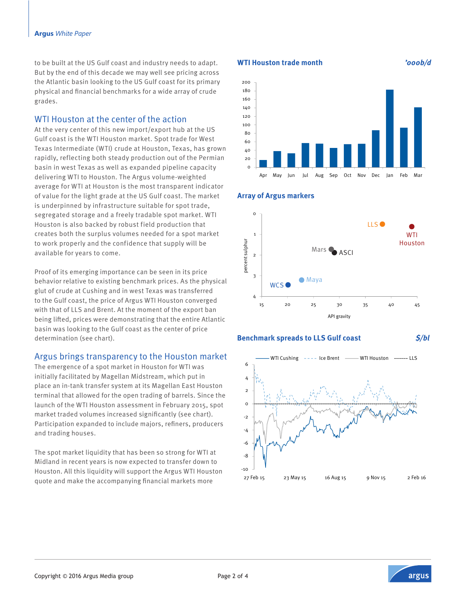to be built at the US Gulf coast and industry needs to adapt. But by the end of this decade we may well see pricing across the Atlantic basin looking to the US Gulf coast for its primary physical and financial benchmarks for a wide array of crude grades.

# WTI Houston at the center of the action

At the very center of this new import/export hub at the US Gulf coast is the WTI Houston market. Spot trade for West Texas Intermediate (WTI) crude at Houston, Texas, has grown rapidly, reflecting both steady production out of the Permian basin in west Texas as well as expanded pipeline capacity delivering WTI to Houston. The Argus volume-weighted average for WTI at Houston is the most transparent indicator of value for the light grade at the US Gulf coast. The market is underpinned by infrastructure suitable for spot trade, segregated storage and a freely tradable spot market. WTI Houston is also backed by robust field production that creates both the surplus volumes needed for a spot market to work properly and the confidence that supply will be available for years to come.

Proof of its emerging importance can be seen in its price behavior relative to existing benchmark prices. As the physical glut of crude at Cushing and in west Texas was transferred to the Gulf coast, the price of Argus WTI Houston converged with that of LLS and Brent. At the moment of the export ban being lifted, prices were demonstrating that the entire Atlantic basin was looking to the Gulf coast as the center of price determination (see chart).

# Argus brings transparency to the Houston market

The emergence of a spot market in Houston for WTI was initially facilitated by Magellan Midstream, which put in place an in-tank transfer system at its Magellan East Houston terminal that allowed for the open trading of barrels. Since the launch of the WTI Houston assessment in February 2015, spot market traded volumes increased significantly (see chart). Participation expanded to include majors, refiners, producers and trading houses.

The spot market liquidity that has been so strong for WTI at Midland in recent years is now expected to transfer down to Houston. All this liquidity will support the Argus WTI Houston quote and make the accompanying financial markets more

### **WTI Houston trade month '000b/d**

**Array of Argus markers**





#### **Benchmark spreads to LLS Gulf coast \$/bl**



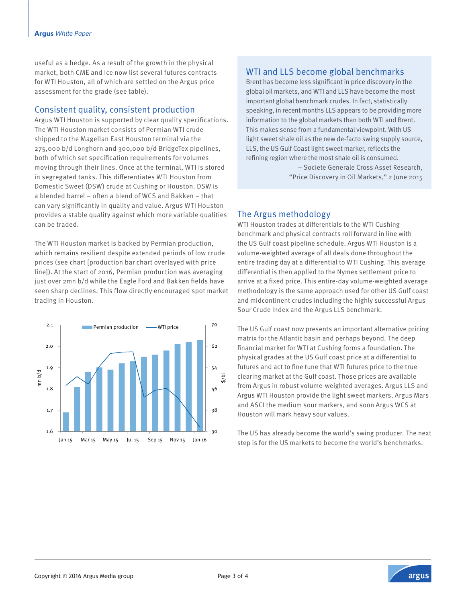#### **Argus** *White Paper*

useful as a hedge. As a result of the growth in the physical market, both CME and Ice now list several futures contracts for WTI Houston, all of which are settled on the Argus price assessment for the grade (see table).

### Consistent quality, consistent production

Argus WTI Houston is supported by clear quality specifications. The WTI Houston market consists of Permian WTI crude shipped to the Magellan East Houston terminal via the 275,000 b/d Longhorn and 300,000 b/d BridgeTex pipelines, both of which set specification requirements for volumes moving through their lines. Once at the terminal, WTI is stored in segregated tanks. This differentiates WTI Houston from Domestic Sweet (DSW) crude at Cushing or Houston. DSW is a blended barrel – often a blend of WCS and Bakken – that can vary significantly in quality and value. Argus WTI Houston provides a stable quality against which more variable qualities can be traded.

The WTI Houston market is backed by Permian production, which remains resilient despite extended periods of low crude prices (see chart [production bar chart overlayed with price line]). At the start of 2016, Permian production was averaging just over 2mn b/d while the Eagle Ford and Bakken fields have seen sharp declines. This flow directly encouraged spot market trading in Houston.



# WTI and LLS become global benchmarks

Brent has become less significant in price discovery in the global oil markets, and WTI and LLS have become the most important global benchmark crudes. In fact, statistically speaking, in recent months LLS appears to be providing more information to the global markets than both WTI and Brent. This makes sense from a fundamental viewpoint. With US light sweet shale oil as the new de-facto swing supply source, LLS, the US Gulf Coast light sweet marker, reflects the refining region where the most shale oil is consumed.

> – Societe Generale Cross Asset Research, "Price Discovery in Oil Markets," 2 June 2015

# The Argus methodology

WTI Houston trades at differentials to the WTI Cushing benchmark and physical contracts roll forward in line with the US Gulf coast pipeline schedule. Argus WTI Houston is a volume-weighted average of all deals done throughout the entire trading day at a differential to WTI Cushing. This average differential is then applied to the Nymex settlement price to arrive at a fixed price. This entire-day volume-weighted average methodology is the same approach used for other US Gulf coast and midcontinent crudes including the highly successful Argus Sour Crude Index and the Argus LLS benchmark.

The US Gulf coast now presents an important alternative pricing matrix for the Atlantic basin and perhaps beyond. The deep financial market for WTI at Cushing forms a foundation. The physical grades at the US Gulf coast price at a differential to futures and act to fine tune that WTI futures price to the true clearing market at the Gulf coast. Those prices are available from Argus in robust volume-weighted averages. Argus LLS and Argus WTI Houston provide the light sweet markers, Argus Mars and ASCI the medium sour markers, and soon Argus WCS at Houston will mark heavy sour values.

The US has already become the world's swing producer. The next step is for the US markets to become the world's benchmarks.